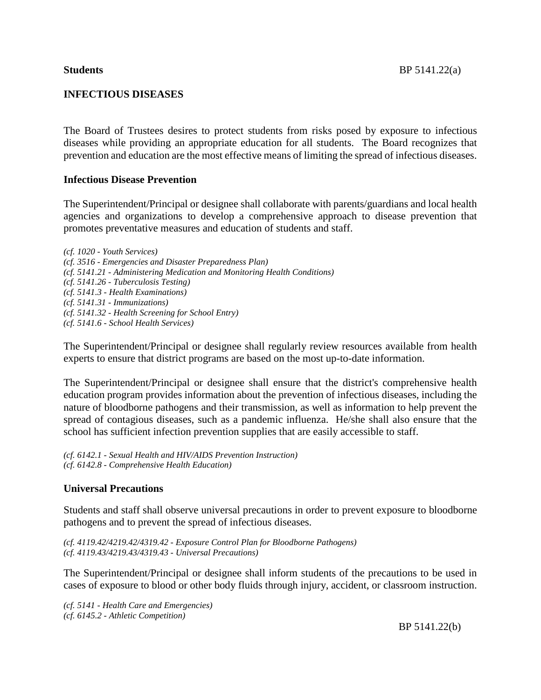# **INFECTIOUS DISEASES**

The Board of Trustees desires to protect students from risks posed by exposure to infectious diseases while providing an appropriate education for all students. The Board recognizes that prevention and education are the most effective means of limiting the spread of infectious diseases.

### **Infectious Disease Prevention**

The Superintendent/Principal or designee shall collaborate with parents/guardians and local health agencies and organizations to develop a comprehensive approach to disease prevention that promotes preventative measures and education of students and staff.

*(cf. 1020 - Youth Services) (cf. 3516 - Emergencies and Disaster Preparedness Plan) (cf. 5141.21 - Administering Medication and Monitoring Health Conditions) (cf. 5141.26 - Tuberculosis Testing) (cf. 5141.3 - Health Examinations) (cf. 5141.31 - Immunizations) (cf. 5141.32 - Health Screening for School Entry) (cf. 5141.6 - School Health Services)*

The Superintendent/Principal or designee shall regularly review resources available from health experts to ensure that district programs are based on the most up-to-date information.

The Superintendent/Principal or designee shall ensure that the district's comprehensive health education program provides information about the prevention of infectious diseases, including the nature of bloodborne pathogens and their transmission, as well as information to help prevent the spread of contagious diseases, such as a pandemic influenza. He/she shall also ensure that the school has sufficient infection prevention supplies that are easily accessible to staff.

*(cf. 6142.1 - Sexual Health and HIV/AIDS Prevention Instruction) (cf. 6142.8 - Comprehensive Health Education)*

## **Universal Precautions**

Students and staff shall observe universal precautions in order to prevent exposure to bloodborne pathogens and to prevent the spread of infectious diseases.

*(cf. 4119.42/4219.42/4319.42 - Exposure Control Plan for Bloodborne Pathogens) (cf. 4119.43/4219.43/4319.43 - Universal Precautions)*

The Superintendent/Principal or designee shall inform students of the precautions to be used in cases of exposure to blood or other body fluids through injury, accident, or classroom instruction.

*(cf. 5141 - Health Care and Emergencies) (cf. 6145.2 - Athletic Competition)*

BP 5141.22(b)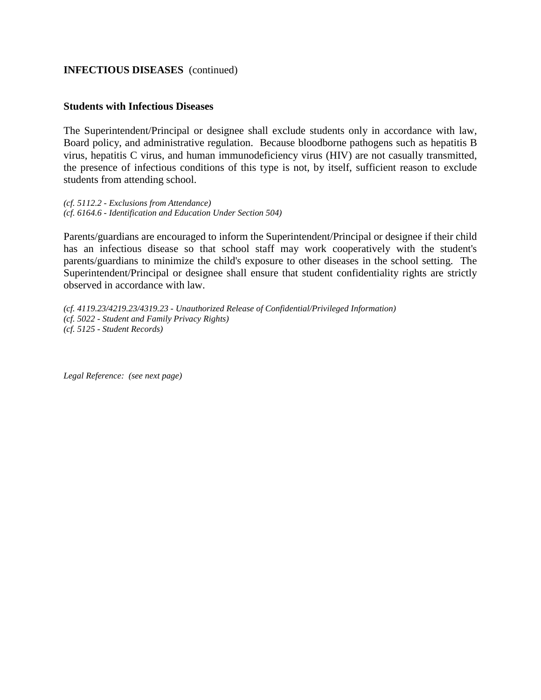### **INFECTIOUS DISEASES** (continued)

### **Students with Infectious Diseases**

The Superintendent/Principal or designee shall exclude students only in accordance with law, Board policy, and administrative regulation. Because bloodborne pathogens such as hepatitis B virus, hepatitis C virus, and human immunodeficiency virus (HIV) are not casually transmitted, the presence of infectious conditions of this type is not, by itself, sufficient reason to exclude students from attending school.

*(cf. 5112.2 - Exclusions from Attendance) (cf. 6164.6 - Identification and Education Under Section 504)*

Parents/guardians are encouraged to inform the Superintendent/Principal or designee if their child has an infectious disease so that school staff may work cooperatively with the student's parents/guardians to minimize the child's exposure to other diseases in the school setting. The Superintendent/Principal or designee shall ensure that student confidentiality rights are strictly observed in accordance with law.

*(cf. 4119.23/4219.23/4319.23 - Unauthorized Release of Confidential/Privileged Information) (cf. 5022 - Student and Family Privacy Rights) (cf. 5125 - Student Records)*

*Legal Reference: (see next page)*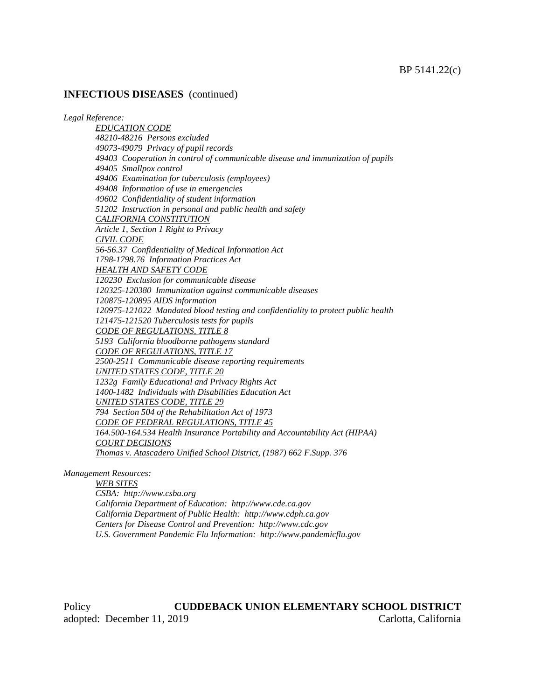#### **INFECTIOUS DISEASES** (continued)

*Legal Reference:*

*EDUCATION CODE 48210-48216 Persons excluded 49073-49079 Privacy of pupil records 49403 Cooperation in control of communicable disease and immunization of pupils 49405 Smallpox control 49406 Examination for tuberculosis (employees) 49408 Information of use in emergencies 49602 Confidentiality of student information 51202 Instruction in personal and public health and safety CALIFORNIA CONSTITUTION Article 1, Section 1 Right to Privacy CIVIL CODE 56-56.37 Confidentiality of Medical Information Act 1798-1798.76 Information Practices Act HEALTH AND SAFETY CODE 120230 Exclusion for communicable disease 120325-120380 Immunization against communicable diseases 120875-120895 AIDS information 120975-121022 Mandated blood testing and confidentiality to protect public health 121475-121520 Tuberculosis tests for pupils CODE OF REGULATIONS, TITLE 8 5193 California bloodborne pathogens standard CODE OF REGULATIONS, TITLE 17 2500-2511 Communicable disease reporting requirements UNITED STATES CODE, TITLE 20 1232g Family Educational and Privacy Rights Act 1400-1482 Individuals with Disabilities Education Act UNITED STATES CODE, TITLE 29 794 Section 504 of the Rehabilitation Act of 1973 CODE OF FEDERAL REGULATIONS, TITLE 45 164.500-164.534 Health Insurance Portability and Accountability Act (HIPAA) COURT DECISIONS Thomas v. Atascadero Unified School District, (1987) 662 F.Supp. 376*

*Management Resources:*

*WEB SITES CSBA: http://www.csba.org California Department of Education: http://www.cde.ca.gov California Department of Public Health: http://www.cdph.ca.gov Centers for Disease Control and Prevention: http://www.cdc.gov U.S. Government Pandemic Flu Information: http://www.pandemicflu.gov*

Policy **CUDDEBACK UNION ELEMENTARY SCHOOL DISTRICT** adopted: December 11, 2019 Carlotta, California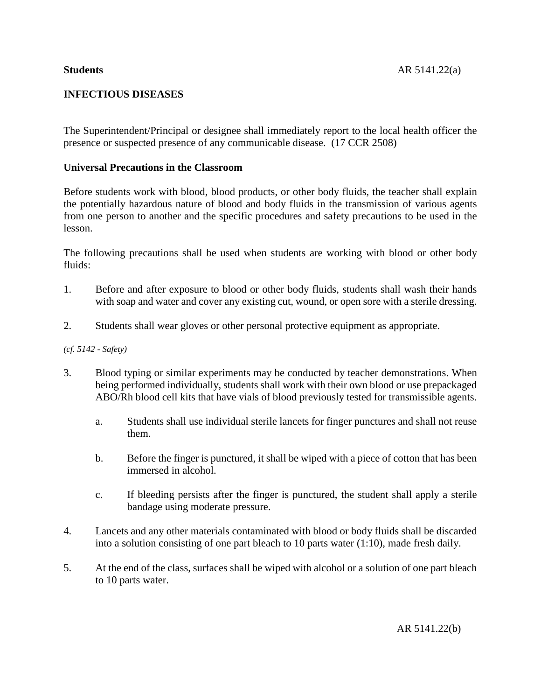# **INFECTIOUS DISEASES**

The Superintendent/Principal or designee shall immediately report to the local health officer the presence or suspected presence of any communicable disease. (17 CCR 2508)

## **Universal Precautions in the Classroom**

Before students work with blood, blood products, or other body fluids, the teacher shall explain the potentially hazardous nature of blood and body fluids in the transmission of various agents from one person to another and the specific procedures and safety precautions to be used in the lesson.

The following precautions shall be used when students are working with blood or other body fluids:

- 1. Before and after exposure to blood or other body fluids, students shall wash their hands with soap and water and cover any existing cut, wound, or open sore with a sterile dressing.
- 2. Students shall wear gloves or other personal protective equipment as appropriate.

### *(cf. 5142 - Safety)*

- 3. Blood typing or similar experiments may be conducted by teacher demonstrations. When being performed individually, students shall work with their own blood or use prepackaged ABO/Rh blood cell kits that have vials of blood previously tested for transmissible agents.
	- a. Students shall use individual sterile lancets for finger punctures and shall not reuse them.
	- b. Before the finger is punctured, it shall be wiped with a piece of cotton that has been immersed in alcohol.
	- c. If bleeding persists after the finger is punctured, the student shall apply a sterile bandage using moderate pressure.
- 4. Lancets and any other materials contaminated with blood or body fluids shall be discarded into a solution consisting of one part bleach to 10 parts water (1:10), made fresh daily.
- 5. At the end of the class, surfaces shall be wiped with alcohol or a solution of one part bleach to 10 parts water.